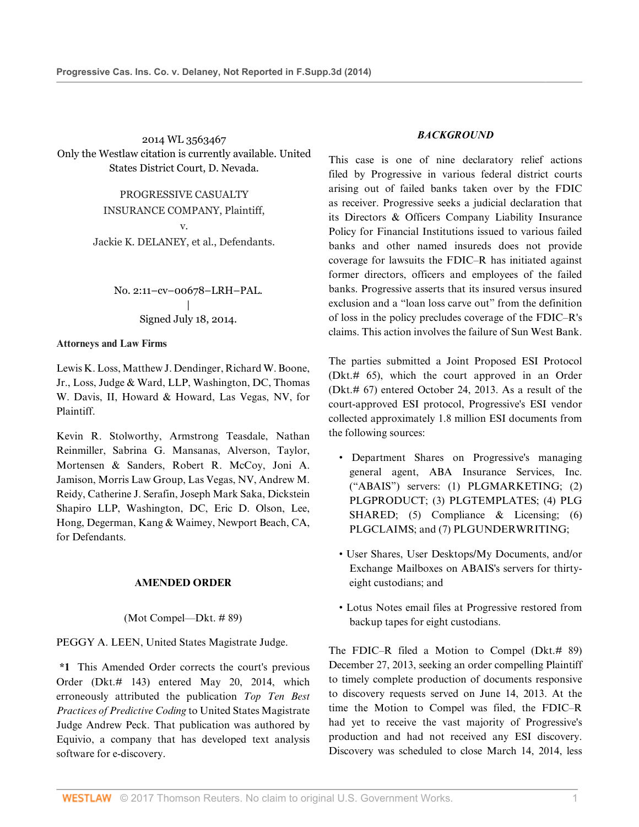2014 WL 3563467 Only the Westlaw citation is currently available. United States District Court, D. Nevada.

> PROGRESSIVE CASUALTY INSURANCE COMPANY, Plaintiff, v.

Jackie K. DELANEY, et al., Defendants.

No. 2:11–cv–00678–LRH–PAL. | Signed July 18, 2014.

### **Attorneys and Law Firms**

[Lewis K. Loss](http://www.westlaw.com/Link/Document/FullText?findType=h&pubNum=176284&cite=0184374701&originatingDoc=I7e98d2b3111411e49488c8f438320c70&refType=RQ&originationContext=document&vr=3.0&rs=cblt1.0&transitionType=DocumentItem&contextData=(sc.DocLink)), [Matthew J. Dendinger,](http://www.westlaw.com/Link/Document/FullText?findType=h&pubNum=176284&cite=0331600401&originatingDoc=I7e98d2b3111411e49488c8f438320c70&refType=RQ&originationContext=document&vr=3.0&rs=cblt1.0&transitionType=DocumentItem&contextData=(sc.DocLink)) [Richard W. Boone,](http://www.westlaw.com/Link/Document/FullText?findType=h&pubNum=176284&cite=0272349901&originatingDoc=I7e98d2b3111411e49488c8f438320c70&refType=RQ&originationContext=document&vr=3.0&rs=cblt1.0&transitionType=DocumentItem&contextData=(sc.DocLink)) [Jr.,](http://www.westlaw.com/Link/Document/FullText?findType=h&pubNum=176284&cite=0272349901&originatingDoc=I7e98d2b3111411e49488c8f438320c70&refType=RQ&originationContext=document&vr=3.0&rs=cblt1.0&transitionType=DocumentItem&contextData=(sc.DocLink)) Loss, Judge & Ward, LLP, Washington, DC, [Thomas](http://www.westlaw.com/Link/Document/FullText?findType=h&pubNum=176284&cite=0175390401&originatingDoc=I7e98d2b3111411e49488c8f438320c70&refType=RQ&originationContext=document&vr=3.0&rs=cblt1.0&transitionType=DocumentItem&contextData=(sc.DocLink)) [W. Davis, II](http://www.westlaw.com/Link/Document/FullText?findType=h&pubNum=176284&cite=0175390401&originatingDoc=I7e98d2b3111411e49488c8f438320c70&refType=RQ&originationContext=document&vr=3.0&rs=cblt1.0&transitionType=DocumentItem&contextData=(sc.DocLink)), Howard & Howard, Las Vegas, NV, for Plaintiff.

[Kevin R. Stolworthy](http://www.westlaw.com/Link/Document/FullText?findType=h&pubNum=176284&cite=0236458601&originatingDoc=I7e98d2b3111411e49488c8f438320c70&refType=RQ&originationContext=document&vr=3.0&rs=cblt1.0&transitionType=DocumentItem&contextData=(sc.DocLink)), Armstrong Teasdale, [Nathan](http://www.westlaw.com/Link/Document/FullText?findType=h&pubNum=176284&cite=0338020201&originatingDoc=I7e98d2b3111411e49488c8f438320c70&refType=RQ&originationContext=document&vr=3.0&rs=cblt1.0&transitionType=DocumentItem&contextData=(sc.DocLink)) [Reinmiller,](http://www.westlaw.com/Link/Document/FullText?findType=h&pubNum=176284&cite=0338020201&originatingDoc=I7e98d2b3111411e49488c8f438320c70&refType=RQ&originationContext=document&vr=3.0&rs=cblt1.0&transitionType=DocumentItem&contextData=(sc.DocLink)) [Sabrina G. Mansanas,](http://www.westlaw.com/Link/Document/FullText?findType=h&pubNum=176284&cite=0389586701&originatingDoc=I7e98d2b3111411e49488c8f438320c70&refType=RQ&originationContext=document&vr=3.0&rs=cblt1.0&transitionType=DocumentItem&contextData=(sc.DocLink)) Alverson, Taylor, Mortensen & Sanders, [Robert R. McCoy,](http://www.westlaw.com/Link/Document/FullText?findType=h&pubNum=176284&cite=0352395401&originatingDoc=I7e98d2b3111411e49488c8f438320c70&refType=RQ&originationContext=document&vr=3.0&rs=cblt1.0&transitionType=DocumentItem&contextData=(sc.DocLink)) [Joni A.](http://www.westlaw.com/Link/Document/FullText?findType=h&pubNum=176284&cite=0436017301&originatingDoc=I7e98d2b3111411e49488c8f438320c70&refType=RQ&originationContext=document&vr=3.0&rs=cblt1.0&transitionType=DocumentItem&contextData=(sc.DocLink)) [Jamison](http://www.westlaw.com/Link/Document/FullText?findType=h&pubNum=176284&cite=0436017301&originatingDoc=I7e98d2b3111411e49488c8f438320c70&refType=RQ&originationContext=document&vr=3.0&rs=cblt1.0&transitionType=DocumentItem&contextData=(sc.DocLink)), Morris Law Group, Las Vegas, NV, [Andrew M.](http://www.westlaw.com/Link/Document/FullText?findType=h&pubNum=176284&cite=0132955901&originatingDoc=I7e98d2b3111411e49488c8f438320c70&refType=RQ&originationContext=document&vr=3.0&rs=cblt1.0&transitionType=DocumentItem&contextData=(sc.DocLink)) [Reidy](http://www.westlaw.com/Link/Document/FullText?findType=h&pubNum=176284&cite=0132955901&originatingDoc=I7e98d2b3111411e49488c8f438320c70&refType=RQ&originationContext=document&vr=3.0&rs=cblt1.0&transitionType=DocumentItem&contextData=(sc.DocLink)), [Catherine J. Serafin,](http://www.westlaw.com/Link/Document/FullText?findType=h&pubNum=176284&cite=0106372101&originatingDoc=I7e98d2b3111411e49488c8f438320c70&refType=RQ&originationContext=document&vr=3.0&rs=cblt1.0&transitionType=DocumentItem&contextData=(sc.DocLink)) [Joseph Mark Saka](http://www.westlaw.com/Link/Document/FullText?findType=h&pubNum=176284&cite=0422342501&originatingDoc=I7e98d2b3111411e49488c8f438320c70&refType=RQ&originationContext=document&vr=3.0&rs=cblt1.0&transitionType=DocumentItem&contextData=(sc.DocLink)), Dickstein Shapiro LLP, Washington, DC, [Eric D. Olson](http://www.westlaw.com/Link/Document/FullText?findType=h&pubNum=176284&cite=0325574701&originatingDoc=I7e98d2b3111411e49488c8f438320c70&refType=RQ&originationContext=document&vr=3.0&rs=cblt1.0&transitionType=DocumentItem&contextData=(sc.DocLink)), Lee, Hong, Degerman, Kang & Waimey, Newport Beach, CA, for Defendants.

### **AMENDED ORDER**

### (Mot Compel—Dkt. # 89)

[PEGGY A. LEEN,](http://www.westlaw.com/Link/Document/FullText?findType=h&pubNum=176284&cite=0145860201&originatingDoc=I7e98d2b3111411e49488c8f438320c70&refType=RQ&originationContext=document&vr=3.0&rs=cblt1.0&transitionType=DocumentItem&contextData=(sc.DocLink)) United States Magistrate Judge.

**\*1** This Amended Order corrects the court's previous Order (Dkt.# 143) entered May 20, 2014, which erroneously attributed the publication *Top Ten Best Practices of Predictive Coding* to United States Magistrate Judge Andrew Peck. That publication was authored by Equivio, a company that has developed text analysis software for e-discovery.

# *BACKGROUND*

This case is one of nine declaratory relief actions filed by Progressive in various federal district courts arising out of failed banks taken over by the FDIC as receiver. Progressive seeks a judicial declaration that its Directors & Officers Company Liability Insurance Policy for Financial Institutions issued to various failed banks and other named insureds does not provide coverage for lawsuits the FDIC–R has initiated against former directors, officers and employees of the failed banks. Progressive asserts that its insured versus insured exclusion and a "loan loss carve out" from the definition of loss in the policy precludes coverage of the FDIC–R's claims. This action involves the failure of Sun West Bank.

The parties submitted a Joint Proposed ESI Protocol (Dkt.# 65), which the court approved in an Order (Dkt.# 67) entered October 24, 2013. As a result of the court-approved ESI protocol, Progressive's ESI vendor collected approximately 1.8 million ESI documents from the following sources:

- Department Shares on Progressive's managing general agent, ABA Insurance Services, Inc. ("ABAIS") servers: (1) PLGMARKETING; (2) PLGPRODUCT; (3) PLGTEMPLATES; (4) PLG SHARED; (5) Compliance & Licensing; (6) PLGCLAIMS; and (7) PLGUNDERWRITING;
- User Shares, User Desktops/My Documents, and/or Exchange Mailboxes on ABAIS's servers for thirtyeight custodians; and
- Lotus Notes email files at Progressive restored from backup tapes for eight custodians.

The FDIC–R filed a Motion to Compel (Dkt.# 89) December 27, 2013, seeking an order compelling Plaintiff to timely complete production of documents responsive to discovery requests served on June 14, 2013. At the time the Motion to Compel was filed, the FDIC–R had yet to receive the vast majority of Progressive's production and had not received any ESI discovery. Discovery was scheduled to close March 14, 2014, less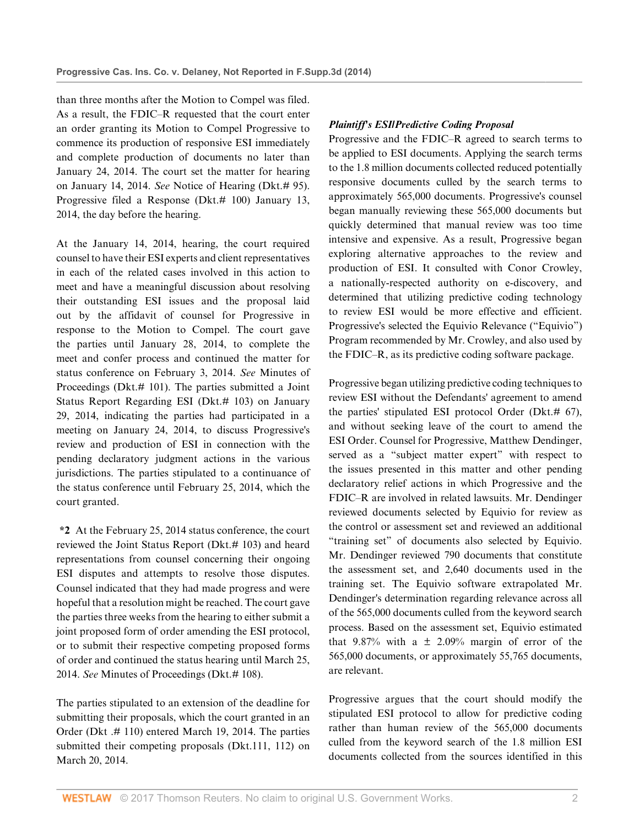than three months after the Motion to Compel was filed. As a result, the FDIC–R requested that the court enter an order granting its Motion to Compel Progressive to commence its production of responsive ESI immediately and complete production of documents no later than January 24, 2014. The court set the matter for hearing on January 14, 2014. *See* Notice of Hearing (Dkt.# 95). Progressive filed a Response (Dkt.# 100) January 13, 2014, the day before the hearing.

At the January 14, 2014, hearing, the court required counsel to have their ESI experts and client representatives in each of the related cases involved in this action to meet and have a meaningful discussion about resolving their outstanding ESI issues and the proposal laid out by the affidavit of counsel for Progressive in response to the Motion to Compel. The court gave the parties until January 28, 2014, to complete the meet and confer process and continued the matter for status conference on February 3, 2014. *See* Minutes of Proceedings (Dkt.# 101). The parties submitted a Joint Status Report Regarding ESI (Dkt.# 103) on January 29, 2014, indicating the parties had participated in a meeting on January 24, 2014, to discuss Progressive's review and production of ESI in connection with the pending declaratory judgment actions in the various jurisdictions. The parties stipulated to a continuance of the status conference until February 25, 2014, which the court granted.

**\*2** At the February 25, 2014 status conference, the court reviewed the Joint Status Report (Dkt.# 103) and heard representations from counsel concerning their ongoing ESI disputes and attempts to resolve those disputes. Counsel indicated that they had made progress and were hopeful that a resolution might be reached. The court gave the parties three weeks from the hearing to either submit a joint proposed form of order amending the ESI protocol, or to submit their respective competing proposed forms of order and continued the status hearing until March 25, 2014. *See* Minutes of Proceedings (Dkt.# 108).

The parties stipulated to an extension of the deadline for submitting their proposals, which the court granted in an Order (Dkt .# 110) entered March 19, 2014. The parties submitted their competing proposals (Dkt.111, 112) on March 20, 2014.

# *Plaintiff's ESI/Predictive Coding Proposal*

Progressive and the FDIC–R agreed to search terms to be applied to ESI documents. Applying the search terms to the 1.8 million documents collected reduced potentially responsive documents culled by the search terms to approximately 565,000 documents. Progressive's counsel began manually reviewing these 565,000 documents but quickly determined that manual review was too time intensive and expensive. As a result, Progressive began exploring alternative approaches to the review and production of ESI. It consulted with Conor Crowley, a nationally-respected authority on e-discovery, and determined that utilizing predictive coding technology to review ESI would be more effective and efficient. Progressive's selected the Equivio Relevance ("Equivio") Program recommended by Mr. Crowley, and also used by the FDIC–R, as its predictive coding software package.

Progressive began utilizing predictive coding techniques to review ESI without the Defendants' agreement to amend the parties' stipulated ESI protocol Order (Dkt.# 67), and without seeking leave of the court to amend the ESI Order. Counsel for Progressive, Matthew Dendinger, served as a "subject matter expert" with respect to the issues presented in this matter and other pending declaratory relief actions in which Progressive and the FDIC–R are involved in related lawsuits. Mr. Dendinger reviewed documents selected by Equivio for review as the control or assessment set and reviewed an additional "training set" of documents also selected by Equivio. Mr. Dendinger reviewed 790 documents that constitute the assessment set, and 2,640 documents used in the training set. The Equivio software extrapolated Mr. Dendinger's determination regarding relevance across all of the 565,000 documents culled from the keyword search process. Based on the assessment set, Equivio estimated that 9.87% with a  $\pm$  2.09% margin of error of the 565,000 documents, or approximately 55,765 documents, are relevant.

Progressive argues that the court should modify the stipulated ESI protocol to allow for predictive coding rather than human review of the 565,000 documents culled from the keyword search of the 1.8 million ESI documents collected from the sources identified in this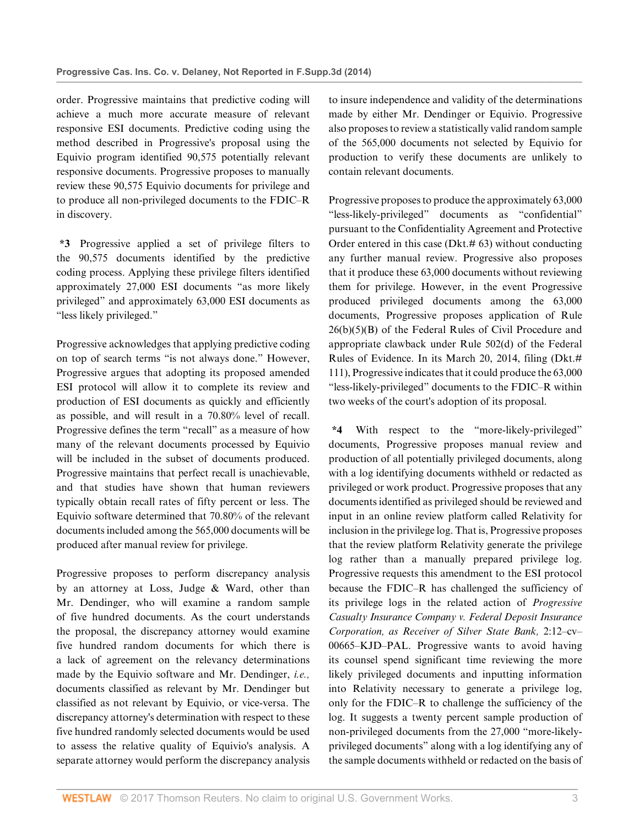order. Progressive maintains that predictive coding will achieve a much more accurate measure of relevant responsive ESI documents. Predictive coding using the method described in Progressive's proposal using the Equivio program identified 90,575 potentially relevant responsive documents. Progressive proposes to manually review these 90,575 Equivio documents for privilege and to produce all non-privileged documents to the FDIC–R in discovery.

**\*3** Progressive applied a set of privilege filters to the 90,575 documents identified by the predictive coding process. Applying these privilege filters identified approximately 27,000 ESI documents "as more likely privileged" and approximately 63,000 ESI documents as "less likely privileged."

Progressive acknowledges that applying predictive coding on top of search terms "is not always done." However, Progressive argues that adopting its proposed amended ESI protocol will allow it to complete its review and production of ESI documents as quickly and efficiently as possible, and will result in a 70.80% level of recall. Progressive defines the term "recall" as a measure of how many of the relevant documents processed by Equivio will be included in the subset of documents produced. Progressive maintains that perfect recall is unachievable, and that studies have shown that human reviewers typically obtain recall rates of fifty percent or less. The Equivio software determined that 70.80% of the relevant documents included among the 565,000 documents will be produced after manual review for privilege.

Progressive proposes to perform discrepancy analysis by an attorney at Loss, Judge & Ward, other than Mr. Dendinger, who will examine a random sample of five hundred documents. As the court understands the proposal, the discrepancy attorney would examine five hundred random documents for which there is a lack of agreement on the relevancy determinations made by the Equivio software and Mr. Dendinger, *i.e.,* documents classified as relevant by Mr. Dendinger but classified as not relevant by Equivio, or vice-versa. The discrepancy attorney's determination with respect to these five hundred randomly selected documents would be used to assess the relative quality of Equivio's analysis. A separate attorney would perform the discrepancy analysis

to insure independence and validity of the determinations made by either Mr. Dendinger or Equivio. Progressive also proposes to review a statistically valid random sample of the 565,000 documents not selected by Equivio for production to verify these documents are unlikely to contain relevant documents.

Progressive proposes to produce the approximately 63,000 "less-likely-privileged" documents as "confidential" pursuant to the Confidentiality Agreement and Protective Order entered in this case (Dkt.# 63) without conducting any further manual review. Progressive also proposes that it produce these 63,000 documents without reviewing them for privilege. However, in the event Progressive produced privileged documents among the 63,000 documents, Progressive proposes application of [Rule](http://www.westlaw.com/Link/Document/FullText?findType=L&pubNum=1000600&cite=USFRCPR26&originatingDoc=I7e98d2b3111411e49488c8f438320c70&refType=RB&originationContext=document&vr=3.0&rs=cblt1.0&transitionType=DocumentItem&contextData=(sc.DocLink)#co_pp_41590000fea35) [26\(b\)\(5\)\(B\) of the Federal Rules of Civil Procedure](http://www.westlaw.com/Link/Document/FullText?findType=L&pubNum=1000600&cite=USFRCPR26&originatingDoc=I7e98d2b3111411e49488c8f438320c70&refType=RB&originationContext=document&vr=3.0&rs=cblt1.0&transitionType=DocumentItem&contextData=(sc.DocLink)#co_pp_41590000fea35) and appropriate clawback under [Rule 502\(d\) of the Federal](http://www.westlaw.com/Link/Document/FullText?findType=L&pubNum=1000607&cite=USFRER502&originatingDoc=I7e98d2b3111411e49488c8f438320c70&refType=RB&originationContext=document&vr=3.0&rs=cblt1.0&transitionType=DocumentItem&contextData=(sc.DocLink)#co_pp_5ba1000067d06) [Rules of Evidence](http://www.westlaw.com/Link/Document/FullText?findType=L&pubNum=1000607&cite=USFRER502&originatingDoc=I7e98d2b3111411e49488c8f438320c70&refType=RB&originationContext=document&vr=3.0&rs=cblt1.0&transitionType=DocumentItem&contextData=(sc.DocLink)#co_pp_5ba1000067d06). In its March 20, 2014, filing (Dkt.# 111), Progressive indicates that it could produce the 63,000 "less-likely-privileged" documents to the FDIC–R within two weeks of the court's adoption of its proposal.

**\*4** With respect to the "more-likely-privileged" documents, Progressive proposes manual review and production of all potentially privileged documents, along with a log identifying documents withheld or redacted as privileged or work product. Progressive proposes that any documents identified as privileged should be reviewed and input in an online review platform called Relativity for inclusion in the privilege log. That is, Progressive proposes that the review platform Relativity generate the privilege log rather than a manually prepared privilege log. Progressive requests this amendment to the ESI protocol because the FDIC–R has challenged the sufficiency of its privilege logs in the related action of *Progressive Casualty Insurance Company v. Federal Deposit Insurance Corporation, as Receiver of Silver State Bank,* 2:12–cv– 00665–KJD–PAL. Progressive wants to avoid having its counsel spend significant time reviewing the more likely privileged documents and inputting information into Relativity necessary to generate a privilege log, only for the FDIC–R to challenge the sufficiency of the log. It suggests a twenty percent sample production of non-privileged documents from the 27,000 "more-likelyprivileged documents" along with a log identifying any of the sample documents withheld or redacted on the basis of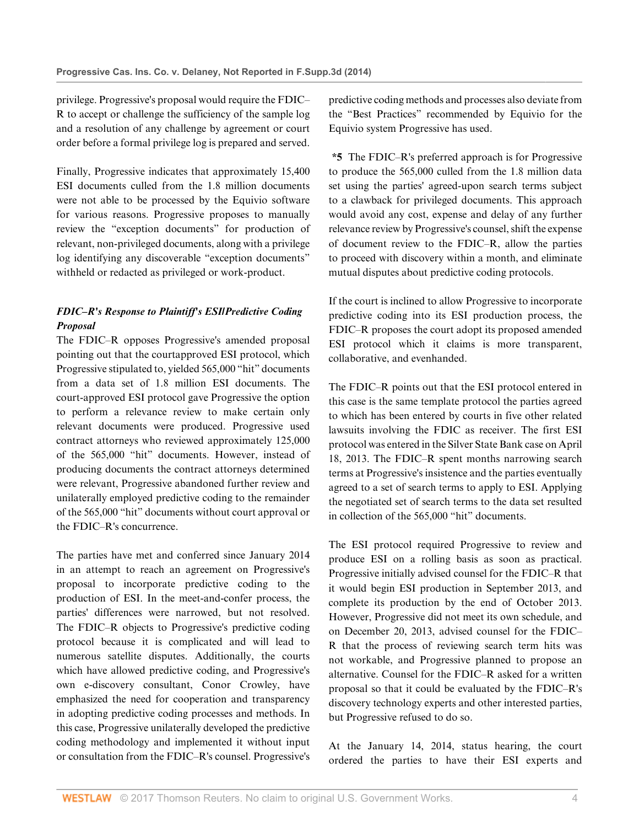privilege. Progressive's proposal would require the FDIC– R to accept or challenge the sufficiency of the sample log and a resolution of any challenge by agreement or court order before a formal privilege log is prepared and served.

Finally, Progressive indicates that approximately 15,400 ESI documents culled from the 1.8 million documents were not able to be processed by the Equivio software for various reasons. Progressive proposes to manually review the "exception documents" for production of relevant, non-privileged documents, along with a privilege log identifying any discoverable "exception documents" withheld or redacted as privileged or work-product.

# *FDIC–R's Response to Plaintiff's ESI/Predictive Coding Proposal*

The FDIC–R opposes Progressive's amended proposal pointing out that the courtapproved ESI protocol, which Progressive stipulated to, yielded 565,000 "hit" documents from a data set of 1.8 million ESI documents. The court-approved ESI protocol gave Progressive the option to perform a relevance review to make certain only relevant documents were produced. Progressive used contract attorneys who reviewed approximately 125,000 of the 565,000 "hit" documents. However, instead of producing documents the contract attorneys determined were relevant, Progressive abandoned further review and unilaterally employed predictive coding to the remainder of the 565,000 "hit" documents without court approval or the FDIC–R's concurrence.

The parties have met and conferred since January 2014 in an attempt to reach an agreement on Progressive's proposal to incorporate predictive coding to the production of ESI. In the meet-and-confer process, the parties' differences were narrowed, but not resolved. The FDIC–R objects to Progressive's predictive coding protocol because it is complicated and will lead to numerous satellite disputes. Additionally, the courts which have allowed predictive coding, and Progressive's own e-discovery consultant, Conor Crowley, have emphasized the need for cooperation and transparency in adopting predictive coding processes and methods. In this case, Progressive unilaterally developed the predictive coding methodology and implemented it without input or consultation from the FDIC–R's counsel. Progressive's

predictive coding methods and processes also deviate from the "Best Practices" recommended by Equivio for the Equivio system Progressive has used.

**\*5** The FDIC–R's preferred approach is for Progressive to produce the 565,000 culled from the 1.8 million data set using the parties' agreed-upon search terms subject to a clawback for privileged documents. This approach would avoid any cost, expense and delay of any further relevance review by Progressive's counsel, shift the expense of document review to the FDIC–R, allow the parties to proceed with discovery within a month, and eliminate mutual disputes about predictive coding protocols.

If the court is inclined to allow Progressive to incorporate predictive coding into its ESI production process, the FDIC–R proposes the court adopt its proposed amended ESI protocol which it claims is more transparent, collaborative, and evenhanded.

The FDIC–R points out that the ESI protocol entered in this case is the same template protocol the parties agreed to which has been entered by courts in five other related lawsuits involving the FDIC as receiver. The first ESI protocol was entered in the Silver State Bank case on April 18, 2013. The FDIC–R spent months narrowing search terms at Progressive's insistence and the parties eventually agreed to a set of search terms to apply to ESI. Applying the negotiated set of search terms to the data set resulted in collection of the 565,000 "hit" documents.

The ESI protocol required Progressive to review and produce ESI on a rolling basis as soon as practical. Progressive initially advised counsel for the FDIC–R that it would begin ESI production in September 2013, and complete its production by the end of October 2013. However, Progressive did not meet its own schedule, and on December 20, 2013, advised counsel for the FDIC– R that the process of reviewing search term hits was not workable, and Progressive planned to propose an alternative. Counsel for the FDIC–R asked for a written proposal so that it could be evaluated by the FDIC–R's discovery technology experts and other interested parties, but Progressive refused to do so.

At the January 14, 2014, status hearing, the court ordered the parties to have their ESI experts and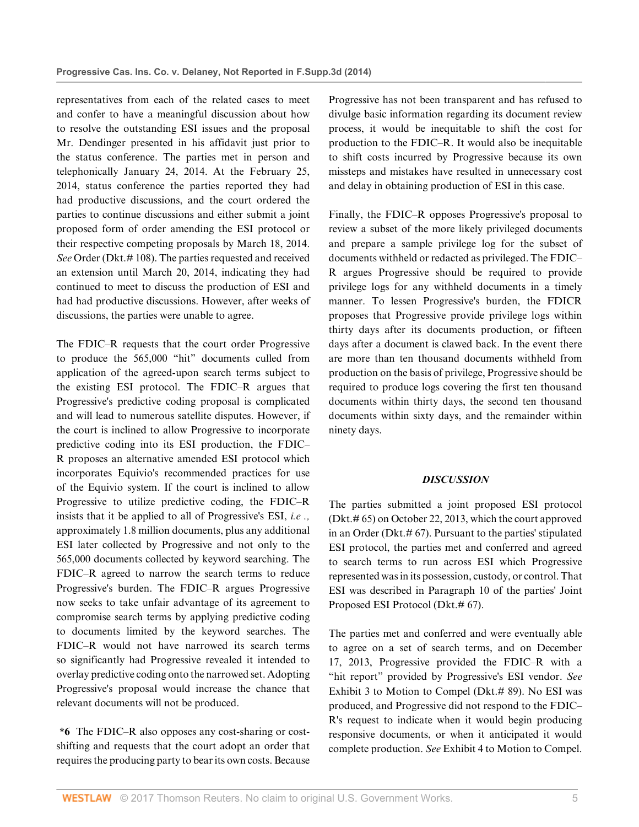representatives from each of the related cases to meet and confer to have a meaningful discussion about how to resolve the outstanding ESI issues and the proposal Mr. Dendinger presented in his affidavit just prior to the status conference. The parties met in person and telephonically January 24, 2014. At the February 25, 2014, status conference the parties reported they had had productive discussions, and the court ordered the parties to continue discussions and either submit a joint proposed form of order amending the ESI protocol or their respective competing proposals by March 18, 2014. *See* Order (Dkt.# 108). The parties requested and received an extension until March 20, 2014, indicating they had continued to meet to discuss the production of ESI and had had productive discussions. However, after weeks of discussions, the parties were unable to agree.

The FDIC–R requests that the court order Progressive to produce the 565,000 "hit" documents culled from application of the agreed-upon search terms subject to the existing ESI protocol. The FDIC–R argues that Progressive's predictive coding proposal is complicated and will lead to numerous satellite disputes. However, if the court is inclined to allow Progressive to incorporate predictive coding into its ESI production, the FDIC– R proposes an alternative amended ESI protocol which incorporates Equivio's recommended practices for use of the Equivio system. If the court is inclined to allow Progressive to utilize predictive coding, the FDIC–R insists that it be applied to all of Progressive's ESI, *i.e .,* approximately 1.8 million documents, plus any additional ESI later collected by Progressive and not only to the 565,000 documents collected by keyword searching. The FDIC–R agreed to narrow the search terms to reduce Progressive's burden. The FDIC–R argues Progressive now seeks to take unfair advantage of its agreement to compromise search terms by applying predictive coding to documents limited by the keyword searches. The FDIC–R would not have narrowed its search terms so significantly had Progressive revealed it intended to overlay predictive coding onto the narrowed set. Adopting Progressive's proposal would increase the chance that relevant documents will not be produced.

**\*6** The FDIC–R also opposes any cost-sharing or costshifting and requests that the court adopt an order that requires the producing party to bear its own costs. Because Progressive has not been transparent and has refused to divulge basic information regarding its document review process, it would be inequitable to shift the cost for production to the FDIC–R. It would also be inequitable to shift costs incurred by Progressive because its own missteps and mistakes have resulted in unnecessary cost and delay in obtaining production of ESI in this case.

Finally, the FDIC–R opposes Progressive's proposal to review a subset of the more likely privileged documents and prepare a sample privilege log for the subset of documents withheld or redacted as privileged. The FDIC– R argues Progressive should be required to provide privilege logs for any withheld documents in a timely manner. To lessen Progressive's burden, the FDICR proposes that Progressive provide privilege logs within thirty days after its documents production, or fifteen days after a document is clawed back. In the event there are more than ten thousand documents withheld from production on the basis of privilege, Progressive should be required to produce logs covering the first ten thousand documents within thirty days, the second ten thousand documents within sixty days, and the remainder within ninety days.

#### *DISCUSSION*

The parties submitted a joint proposed ESI protocol (Dkt.# 65) on October 22, 2013, which the court approved in an Order (Dkt.# 67). Pursuant to the parties' stipulated ESI protocol, the parties met and conferred and agreed to search terms to run across ESI which Progressive represented was in its possession, custody, or control. That ESI was described in Paragraph 10 of the parties' Joint Proposed ESI Protocol (Dkt.# 67).

The parties met and conferred and were eventually able to agree on a set of search terms, and on December 17, 2013, Progressive provided the FDIC–R with a "hit report" provided by Progressive's ESI vendor. *See* Exhibit 3 to Motion to Compel (Dkt.# 89). No ESI was produced, and Progressive did not respond to the FDIC– R's request to indicate when it would begin producing responsive documents, or when it anticipated it would complete production. *See* Exhibit 4 to Motion to Compel.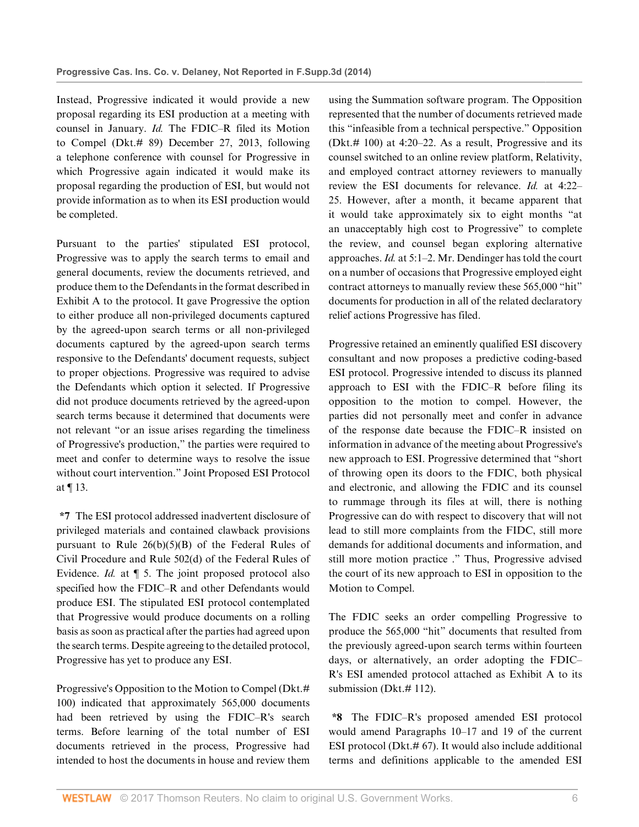Instead, Progressive indicated it would provide a new proposal regarding its ESI production at a meeting with counsel in January. *Id.* The FDIC–R filed its Motion to Compel (Dkt.# 89) December 27, 2013, following a telephone conference with counsel for Progressive in which Progressive again indicated it would make its proposal regarding the production of ESI, but would not provide information as to when its ESI production would be completed.

Pursuant to the parties' stipulated ESI protocol, Progressive was to apply the search terms to email and general documents, review the documents retrieved, and produce them to the Defendants in the format described in Exhibit A to the protocol. It gave Progressive the option to either produce all non-privileged documents captured by the agreed-upon search terms or all non-privileged documents captured by the agreed-upon search terms responsive to the Defendants' document requests, subject to proper objections. Progressive was required to advise the Defendants which option it selected. If Progressive did not produce documents retrieved by the agreed-upon search terms because it determined that documents were not relevant "or an issue arises regarding the timeliness of Progressive's production," the parties were required to meet and confer to determine ways to resolve the issue without court intervention." Joint Proposed ESI Protocol at ¶ 13.

**\*7** The ESI protocol addressed inadvertent disclosure of privileged materials and contained clawback provisions pursuant to Rule  $26(b)(5)(B)$  of the Federal Rules of [Civil Procedure](http://www.westlaw.com/Link/Document/FullText?findType=L&pubNum=1000600&cite=USFRCPR26&originatingDoc=I7e98d2b3111411e49488c8f438320c70&refType=RB&originationContext=document&vr=3.0&rs=cblt1.0&transitionType=DocumentItem&contextData=(sc.DocLink)#co_pp_41590000fea35) and [Rule 502\(d\) of the Federal Rules of](http://www.westlaw.com/Link/Document/FullText?findType=L&pubNum=1000607&cite=USFRER502&originatingDoc=I7e98d2b3111411e49488c8f438320c70&refType=RB&originationContext=document&vr=3.0&rs=cblt1.0&transitionType=DocumentItem&contextData=(sc.DocLink)#co_pp_5ba1000067d06) [Evidence.](http://www.westlaw.com/Link/Document/FullText?findType=L&pubNum=1000607&cite=USFRER502&originatingDoc=I7e98d2b3111411e49488c8f438320c70&refType=RB&originationContext=document&vr=3.0&rs=cblt1.0&transitionType=DocumentItem&contextData=(sc.DocLink)#co_pp_5ba1000067d06) *Id.* at ¶ 5. The joint proposed protocol also specified how the FDIC–R and other Defendants would produce ESI. The stipulated ESI protocol contemplated that Progressive would produce documents on a rolling basis as soon as practical after the parties had agreed upon the search terms. Despite agreeing to the detailed protocol, Progressive has yet to produce any ESI.

Progressive's Opposition to the Motion to Compel (Dkt.# 100) indicated that approximately 565,000 documents had been retrieved by using the FDIC–R's search terms. Before learning of the total number of ESI documents retrieved in the process, Progressive had intended to host the documents in house and review them using the Summation software program. The Opposition represented that the number of documents retrieved made this "infeasible from a technical perspective." Opposition (Dkt.# 100) at 4:20–22. As a result, Progressive and its counsel switched to an online review platform, Relativity, and employed contract attorney reviewers to manually review the ESI documents for relevance. *Id.* at 4:22– 25. However, after a month, it became apparent that it would take approximately six to eight months "at an unacceptably high cost to Progressive" to complete the review, and counsel began exploring alternative approaches. *Id.* at 5:1–2. Mr. Dendinger has told the court on a number of occasions that Progressive employed eight contract attorneys to manually review these 565,000 "hit" documents for production in all of the related declaratory relief actions Progressive has filed.

Progressive retained an eminently qualified ESI discovery consultant and now proposes a predictive coding-based ESI protocol. Progressive intended to discuss its planned approach to ESI with the FDIC–R before filing its opposition to the motion to compel. However, the parties did not personally meet and confer in advance of the response date because the FDIC–R insisted on information in advance of the meeting about Progressive's new approach to ESI. Progressive determined that "short of throwing open its doors to the FDIC, both physical and electronic, and allowing the FDIC and its counsel to rummage through its files at will, there is nothing Progressive can do with respect to discovery that will not lead to still more complaints from the FIDC, still more demands for additional documents and information, and still more motion practice ." Thus, Progressive advised the court of its new approach to ESI in opposition to the Motion to Compel.

The FDIC seeks an order compelling Progressive to produce the 565,000 "hit" documents that resulted from the previously agreed-upon search terms within fourteen days, or alternatively, an order adopting the FDIC– R's ESI amended protocol attached as Exhibit A to its submission (Dkt.#112).

**\*8** The FDIC–R's proposed amended ESI protocol would amend Paragraphs 10–17 and 19 of the current ESI protocol (Dkt.# 67). It would also include additional terms and definitions applicable to the amended ESI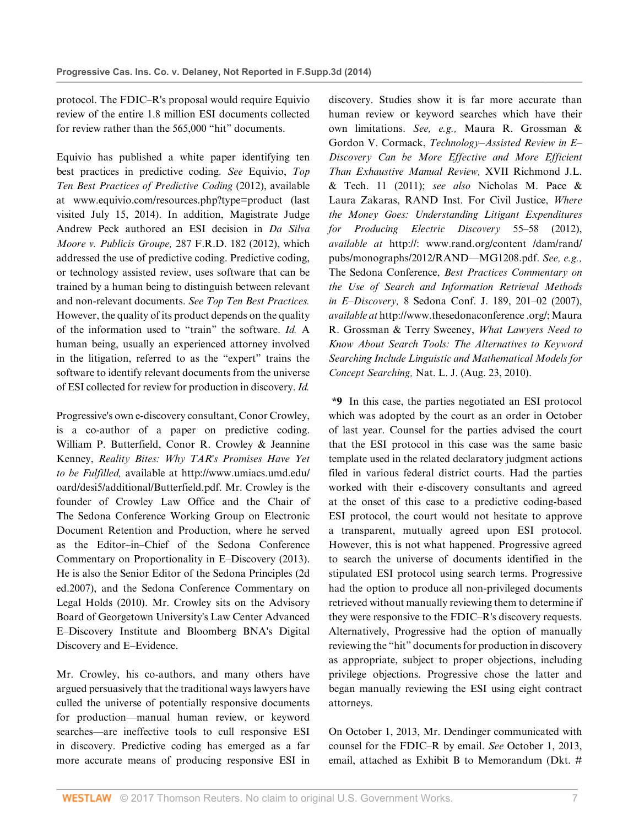protocol. The FDIC–R's proposal would require Equivio review of the entire 1.8 million ESI documents collected for review rather than the 565,000 "hit" documents.

Equivio has published a white paper identifying ten best practices in predictive coding. *See* Equivio, *Top Ten Best Practices of Predictive Coding* (2012), available at www.equivio.com/resources.php?type=product (last visited July 15, 2014). In addition, Magistrate Judge Andrew Peck authored an ESI decision in *[Da Silva](http://www.westlaw.com/Link/Document/FullText?findType=Y&serNum=2027207183&pubNum=0000344&originatingDoc=I7e98d2b3111411e49488c8f438320c70&refType=RP&originationContext=document&vr=3.0&rs=cblt1.0&transitionType=DocumentItem&contextData=(sc.DocLink)) [Moore v. Publicis Groupe,](http://www.westlaw.com/Link/Document/FullText?findType=Y&serNum=2027207183&pubNum=0000344&originatingDoc=I7e98d2b3111411e49488c8f438320c70&refType=RP&originationContext=document&vr=3.0&rs=cblt1.0&transitionType=DocumentItem&contextData=(sc.DocLink))* 287 F.R.D. 182 (2012), which addressed the use of predictive coding. Predictive coding, or technology assisted review, uses software that can be trained by a human being to distinguish between relevant and non-relevant documents. *See Top Ten Best Practices.* However, the quality of its product depends on the quality of the information used to "train" the software. *Id.* A human being, usually an experienced attorney involved in the litigation, referred to as the "expert" trains the software to identify relevant documents from the universe of ESI collected for review for production in discovery. *Id.*

Progressive's own e-discovery consultant, Conor Crowley, is a co-author of a paper on predictive coding. William P. Butterfield, Conor R. Crowley & Jeannine Kenney, *Reality Bites: Why TAR's Promises Have Yet to be Fulfilled,* available at http://www.umiacs.umd.edu/ oard/desi5/additional/Butterfield.pdf. Mr. Crowley is the founder of Crowley Law Office and the Chair of The Sedona Conference Working Group on Electronic Document Retention and Production, where he served as the Editor–in–Chief of the Sedona Conference Commentary on Proportionality in E–Discovery (2013). He is also the Senior Editor of the Sedona Principles (2d ed.2007), and the Sedona Conference Commentary on Legal Holds (2010). Mr. Crowley sits on the Advisory Board of Georgetown University's Law Center Advanced E–Discovery Institute and Bloomberg BNA's Digital Discovery and E–Evidence.

Mr. Crowley, his co-authors, and many others have argued persuasively that the traditional ways lawyers have culled the universe of potentially responsive documents for production—manual human review, or keyword searches—are ineffective tools to cull responsive ESI in discovery. Predictive coding has emerged as a far more accurate means of producing responsive ESI in discovery. Studies show it is far more accurate than human review or keyword searches which have their own limitations. *See, e.g.,* Maura R. Grossman & Gordon V. Cormack, *Technology–Assisted Review in E– Discovery Can be More Effective and More Efficient Than Exhaustive Manual Review,* XVII Richmond J.L. & Tech. 11 (2011); *see also* Nicholas M. Pace & Laura Zakaras, RAND Inst. For Civil Justice, *Where the Money Goes: Understanding Litigant Expenditures for Producing Electric Discovery* 55–58 (2012), *available at* http://: www.rand.org/content /dam/rand/ pubs/monographs/2012/RAND—MG1208.pdf. *See, e.g.,* The Sedona Conference, *[Best Practices Commentary on](http://www.westlaw.com/Link/Document/FullText?findType=Y&serNum=0333402570&pubNum=153638&originatingDoc=I7e98d2b3111411e49488c8f438320c70&refType=LR&fi=co_pp_sp_153638_201&originationContext=document&vr=3.0&rs=cblt1.0&transitionType=DocumentItem&contextData=(sc.DocLink)#co_pp_sp_153638_201) [the Use of Search and Information Retrieval Methods](http://www.westlaw.com/Link/Document/FullText?findType=Y&serNum=0333402570&pubNum=153638&originatingDoc=I7e98d2b3111411e49488c8f438320c70&refType=LR&fi=co_pp_sp_153638_201&originationContext=document&vr=3.0&rs=cblt1.0&transitionType=DocumentItem&contextData=(sc.DocLink)#co_pp_sp_153638_201) in E–Discovery,* [8 Sedona Conf. J. 189, 201–02 \(2007\)](http://www.westlaw.com/Link/Document/FullText?findType=Y&serNum=0333402570&pubNum=153638&originatingDoc=I7e98d2b3111411e49488c8f438320c70&refType=LR&fi=co_pp_sp_153638_201&originationContext=document&vr=3.0&rs=cblt1.0&transitionType=DocumentItem&contextData=(sc.DocLink)#co_pp_sp_153638_201), *available at* http://www.thesedonaconference .org/; Maura R. Grossman & Terry Sweeney, *What Lawyers Need to Know About Search Tools: The Alternatives to Keyword Searching Include Linguistic and Mathematical Models for Concept Searching,* Nat. L. J. (Aug. 23, 2010).

**\*9** In this case, the parties negotiated an ESI protocol which was adopted by the court as an order in October of last year. Counsel for the parties advised the court that the ESI protocol in this case was the same basic template used in the related declaratory judgment actions filed in various federal district courts. Had the parties worked with their e-discovery consultants and agreed at the onset of this case to a predictive coding-based ESI protocol, the court would not hesitate to approve a transparent, mutually agreed upon ESI protocol. However, this is not what happened. Progressive agreed to search the universe of documents identified in the stipulated ESI protocol using search terms. Progressive had the option to produce all non-privileged documents retrieved without manually reviewing them to determine if they were responsive to the FDIC–R's discovery requests. Alternatively, Progressive had the option of manually reviewing the "hit" documents for production in discovery as appropriate, subject to proper objections, including privilege objections. Progressive chose the latter and began manually reviewing the ESI using eight contract attorneys.

On October 1, 2013, Mr. Dendinger communicated with counsel for the FDIC–R by email. *See* October 1, 2013, email, attached as Exhibit B to Memorandum (Dkt. #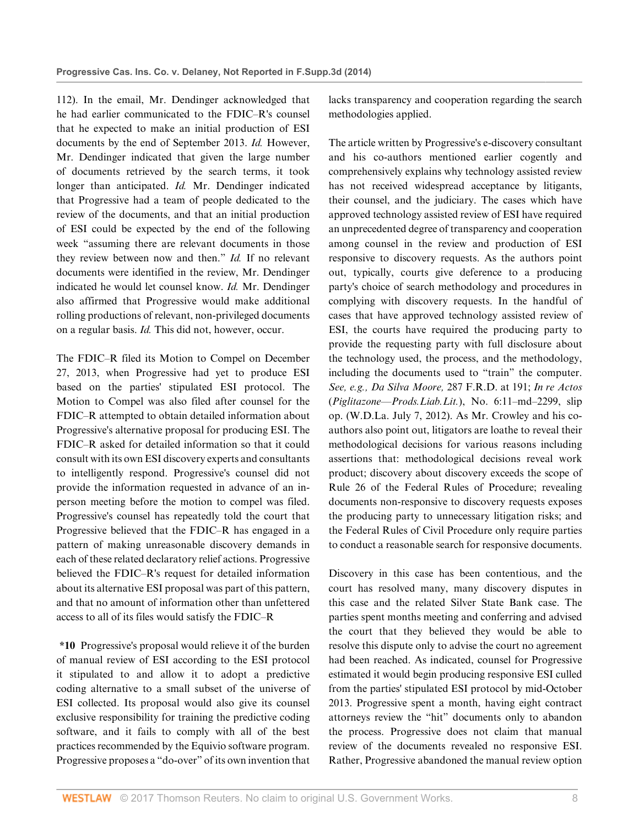112). In the email, Mr. Dendinger acknowledged that he had earlier communicated to the FDIC–R's counsel that he expected to make an initial production of ESI documents by the end of September 2013. *Id.* However, Mr. Dendinger indicated that given the large number of documents retrieved by the search terms, it took longer than anticipated. *Id.* Mr. Dendinger indicated that Progressive had a team of people dedicated to the review of the documents, and that an initial production of ESI could be expected by the end of the following week "assuming there are relevant documents in those they review between now and then." *Id.* If no relevant documents were identified in the review, Mr. Dendinger indicated he would let counsel know. *Id.* Mr. Dendinger also affirmed that Progressive would make additional rolling productions of relevant, non-privileged documents on a regular basis. *Id.* This did not, however, occur.

The FDIC–R filed its Motion to Compel on December 27, 2013, when Progressive had yet to produce ESI based on the parties' stipulated ESI protocol. The Motion to Compel was also filed after counsel for the FDIC–R attempted to obtain detailed information about Progressive's alternative proposal for producing ESI. The FDIC–R asked for detailed information so that it could consult with its own ESI discovery experts and consultants to intelligently respond. Progressive's counsel did not provide the information requested in advance of an inperson meeting before the motion to compel was filed. Progressive's counsel has repeatedly told the court that Progressive believed that the FDIC–R has engaged in a pattern of making unreasonable discovery demands in each of these related declaratory relief actions. Progressive believed the FDIC–R's request for detailed information about its alternative ESI proposal was part of this pattern, and that no amount of information other than unfettered access to all of its files would satisfy the FDIC–R

**\*10** Progressive's proposal would relieve it of the burden of manual review of ESI according to the ESI protocol it stipulated to and allow it to adopt a predictive coding alternative to a small subset of the universe of ESI collected. Its proposal would also give its counsel exclusive responsibility for training the predictive coding software, and it fails to comply with all of the best practices recommended by the Equivio software program. Progressive proposes a "do-over" of its own invention that

lacks transparency and cooperation regarding the search methodologies applied.

The article written by Progressive's e-discovery consultant and his co-authors mentioned earlier cogently and comprehensively explains why technology assisted review has not received widespread acceptance by litigants, their counsel, and the judiciary. The cases which have approved technology assisted review of ESI have required an unprecedented degree of transparency and cooperation among counsel in the review and production of ESI responsive to discovery requests. As the authors point out, typically, courts give deference to a producing party's choice of search methodology and procedures in complying with discovery requests. In the handful of cases that have approved technology assisted review of ESI, the courts have required the producing party to provide the requesting party with full disclosure about the technology used, the process, and the methodology, including the documents used to "train" the computer. *See, e.g., Da Silva Moore,* [287 F.R.D. at 191;](http://www.westlaw.com/Link/Document/FullText?findType=Y&serNum=2027207183&pubNum=344&originatingDoc=I7e98d2b3111411e49488c8f438320c70&refType=RP&fi=co_pp_sp_344_191&originationContext=document&vr=3.0&rs=cblt1.0&transitionType=DocumentItem&contextData=(sc.DocLink)#co_pp_sp_344_191) *In re [Actos](http://www.westlaw.com/Link/Document/FullText?entityType=bdrug&entityId=I37079ba6475111db9765f9243f53508a&originationContext=document&transitionType=DocumentItem&contextData=(sc.Default)&vr=3.0&rs=cblt1.0)* (*Piglitazone—Prods.Liab.Lit.*), No. 6:11–md–2299, slip op. (W.D.La. July 7, 2012). As Mr. Crowley and his coauthors also point out, litigators are loathe to reveal their methodological decisions for various reasons including assertions that: methodological decisions reveal work product; discovery about discovery exceeds the scope of [Rule 26 of the Federal Rules](http://www.westlaw.com/Link/Document/FullText?findType=L&pubNum=1000600&cite=USFRCPR26&originatingDoc=I7e98d2b3111411e49488c8f438320c70&refType=LQ&originationContext=document&vr=3.0&rs=cblt1.0&transitionType=DocumentItem&contextData=(sc.DocLink)) of Procedure; revealing documents non-responsive to discovery requests exposes the producing party to unnecessary litigation risks; and the Federal Rules of Civil Procedure only require parties to conduct a reasonable search for responsive documents.

Discovery in this case has been contentious, and the court has resolved many, many discovery disputes in this case and the related Silver State Bank case. The parties spent months meeting and conferring and advised the court that they believed they would be able to resolve this dispute only to advise the court no agreement had been reached. As indicated, counsel for Progressive estimated it would begin producing responsive ESI culled from the parties' stipulated ESI protocol by mid-October 2013. Progressive spent a month, having eight contract attorneys review the "hit" documents only to abandon the process. Progressive does not claim that manual review of the documents revealed no responsive ESI. Rather, Progressive abandoned the manual review option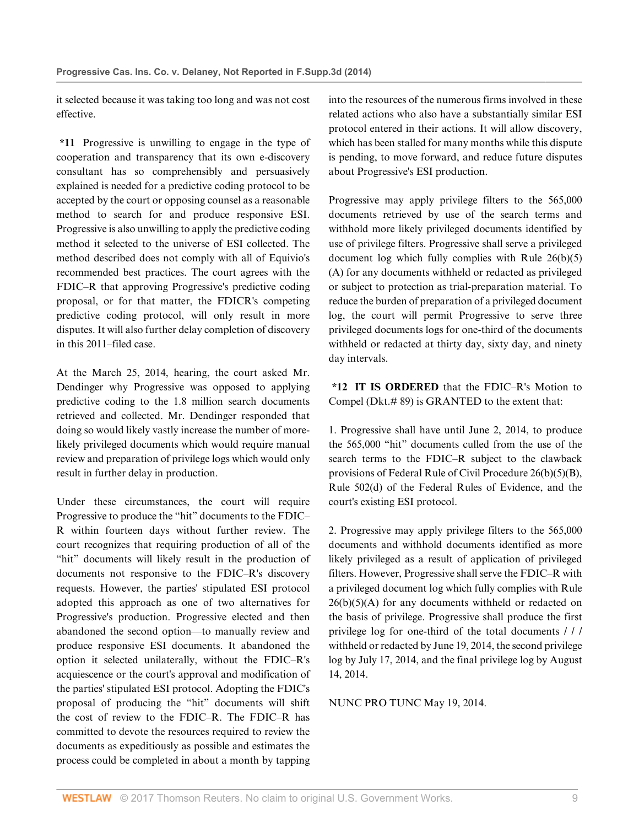it selected because it was taking too long and was not cost effective.

**\*11** Progressive is unwilling to engage in the type of cooperation and transparency that its own e-discovery consultant has so comprehensibly and persuasively explained is needed for a predictive coding protocol to be accepted by the court or opposing counsel as a reasonable method to search for and produce responsive ESI. Progressive is also unwilling to apply the predictive coding method it selected to the universe of ESI collected. The method described does not comply with all of Equivio's recommended best practices. The court agrees with the FDIC–R that approving Progressive's predictive coding proposal, or for that matter, the FDICR's competing predictive coding protocol, will only result in more disputes. It will also further delay completion of discovery in this 2011–filed case.

At the March 25, 2014, hearing, the court asked Mr. Dendinger why Progressive was opposed to applying predictive coding to the 1.8 million search documents retrieved and collected. Mr. Dendinger responded that doing so would likely vastly increase the number of morelikely privileged documents which would require manual review and preparation of privilege logs which would only result in further delay in production.

Under these circumstances, the court will require Progressive to produce the "hit" documents to the FDIC– R within fourteen days without further review. The court recognizes that requiring production of all of the "hit" documents will likely result in the production of documents not responsive to the FDIC–R's discovery requests. However, the parties' stipulated ESI protocol adopted this approach as one of two alternatives for Progressive's production. Progressive elected and then abandoned the second option—to manually review and produce responsive ESI documents. It abandoned the option it selected unilaterally, without the FDIC–R's acquiescence or the court's approval and modification of the parties' stipulated ESI protocol. Adopting the FDIC's proposal of producing the "hit" documents will shift the cost of review to the FDIC–R. The FDIC–R has committed to devote the resources required to review the documents as expeditiously as possible and estimates the process could be completed in about a month by tapping

into the resources of the numerous firms involved in these related actions who also have a substantially similar ESI protocol entered in their actions. It will allow discovery, which has been stalled for many months while this dispute is pending, to move forward, and reduce future disputes about Progressive's ESI production.

Progressive may apply privilege filters to the 565,000 documents retrieved by use of the search terms and withhold more likely privileged documents identified by use of privilege filters. Progressive shall serve a privileged document log which fully complies with [Rule 26\(b\)\(5\)](http://www.westlaw.com/Link/Document/FullText?findType=L&pubNum=1000600&cite=USFRCPR26&originatingDoc=I7e98d2b3111411e49488c8f438320c70&refType=RB&originationContext=document&vr=3.0&rs=cblt1.0&transitionType=DocumentItem&contextData=(sc.DocLink)#co_pp_f8750000aedd6) [\(A\)](http://www.westlaw.com/Link/Document/FullText?findType=L&pubNum=1000600&cite=USFRCPR26&originatingDoc=I7e98d2b3111411e49488c8f438320c70&refType=RB&originationContext=document&vr=3.0&rs=cblt1.0&transitionType=DocumentItem&contextData=(sc.DocLink)#co_pp_f8750000aedd6) for any documents withheld or redacted as privileged or subject to protection as trial-preparation material. To reduce the burden of preparation of a privileged document log, the court will permit Progressive to serve three privileged documents logs for one-third of the documents withheld or redacted at thirty day, sixty day, and ninety day intervals.

**\*12 IT IS ORDERED** that the FDIC–R's Motion to Compel (Dkt.# 89) is GRANTED to the extent that:

1. Progressive shall have until June 2, 2014, to produce the 565,000 "hit" documents culled from the use of the search terms to the FDIC–R subject to the clawback provisions of [Federal Rule of Civil Procedure 26\(b\)\(5\)\(B\)](http://www.westlaw.com/Link/Document/FullText?findType=L&pubNum=1000600&cite=USFRCPR26&originatingDoc=I7e98d2b3111411e49488c8f438320c70&refType=RB&originationContext=document&vr=3.0&rs=cblt1.0&transitionType=DocumentItem&contextData=(sc.DocLink)#co_pp_41590000fea35), [Rule 502\(d\) of the Federal Rules of Evidence,](http://www.westlaw.com/Link/Document/FullText?findType=L&pubNum=1000607&cite=USFRER502&originatingDoc=I7e98d2b3111411e49488c8f438320c70&refType=RB&originationContext=document&vr=3.0&rs=cblt1.0&transitionType=DocumentItem&contextData=(sc.DocLink)#co_pp_5ba1000067d06) and the court's existing ESI protocol.

2. Progressive may apply privilege filters to the 565,000 documents and withhold documents identified as more likely privileged as a result of application of privileged filters. However, Progressive shall serve the FDIC–R with a privileged document log which fully complies with [Rule](http://www.westlaw.com/Link/Document/FullText?findType=L&pubNum=1000600&cite=USFRCPR26&originatingDoc=I7e98d2b3111411e49488c8f438320c70&refType=RB&originationContext=document&vr=3.0&rs=cblt1.0&transitionType=DocumentItem&contextData=(sc.DocLink)#co_pp_f8750000aedd6)  $26(b)(5)(A)$  for any documents withheld or redacted on the basis of privilege. Progressive shall produce the first privilege log for one-third of the total documents / / / withheld or redacted by June 19, 2014, the second privilege log by July 17, 2014, and the final privilege log by August 14, 2014.

NUNC PRO TUNC May 19, 2014.